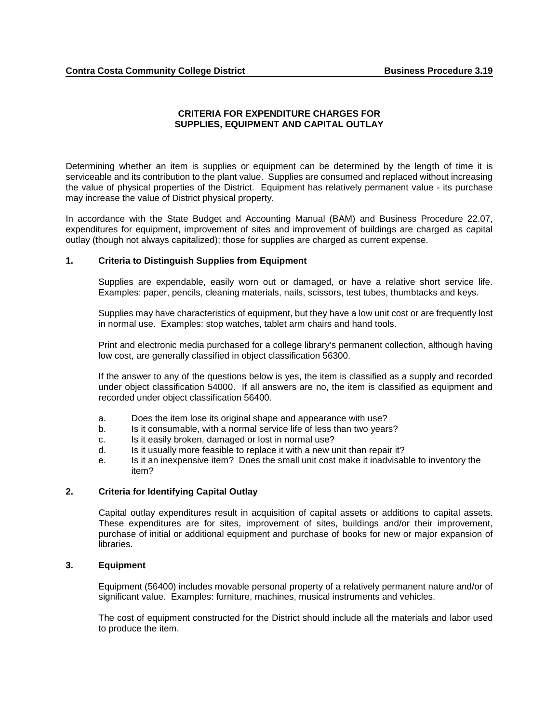# **CRITERIA FOR EXPENDITURE CHARGES FOR SUPPLIES, EQUIPMENT AND CAPITAL OUTLAY**

Determining whether an item is supplies or equipment can be determined by the length of time it is serviceable and its contribution to the plant value. Supplies are consumed and replaced without increasing the value of physical properties of the District. Equipment has relatively permanent value - its purchase may increase the value of District physical property.

In accordance with the State Budget and Accounting Manual (BAM) and Business Procedure 22.07, expenditures for equipment, improvement of sites and improvement of buildings are charged as capital outlay (though not always capitalized); those for supplies are charged as current expense.

## **1. Criteria to Distinguish Supplies from Equipment**

Supplies are expendable, easily worn out or damaged, or have a relative short service life. Examples: paper, pencils, cleaning materials, nails, scissors, test tubes, thumbtacks and keys.

Supplies may have characteristics of equipment, but they have a low unit cost or are frequently lost in normal use. Examples: stop watches, tablet arm chairs and hand tools.

Print and electronic media purchased for a college library's permanent collection, although having low cost, are generally classified in object classification 56300.

If the answer to any of the questions below is yes, the item is classified as a supply and recorded under object classification 54000. If all answers are no, the item is classified as equipment and recorded under object classification 56400.

- a. Does the item lose its original shape and appearance with use?
- b. Is it consumable, with a normal service life of less than two years?
- c. Is it easily broken, damaged or lost in normal use?
- d. Is it usually more feasible to replace it with a new unit than repair it?
- e. Is it an inexpensive item? Does the small unit cost make it inadvisable to inventory the item?

## **2. Criteria for Identifying Capital Outlay**

Capital outlay expenditures result in acquisition of capital assets or additions to capital assets. These expenditures are for sites, improvement of sites, buildings and/or their improvement, purchase of initial or additional equipment and purchase of books for new or major expansion of libraries.

## **3. Equipment**

Equipment (56400) includes movable personal property of a relatively permanent nature and/or of significant value. Examples: furniture, machines, musical instruments and vehicles.

The cost of equipment constructed for the District should include all the materials and labor used to produce the item.